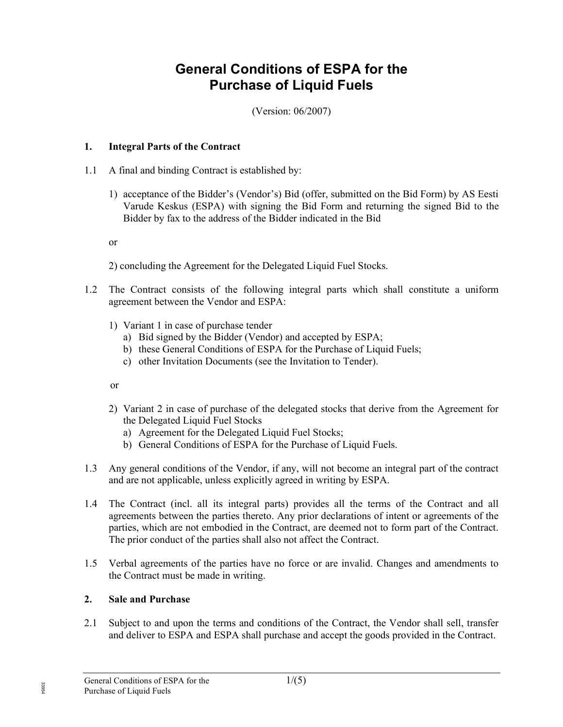# General Conditions of ESPA for the Purchase of Liquid Fuels

(Version: 06/2007)

### 1. Integral Parts of the Contract

- 1.1 A final and binding Contract is established by:
	- 1) acceptance of the Bidder's (Vendor's) Bid (offer, submitted on the Bid Form) by AS Eesti Varude Keskus (ESPA) with signing the Bid Form and returning the signed Bid to the Bidder by fax to the address of the Bidder indicated in the Bid

or

2) concluding the Agreement for the Delegated Liquid Fuel Stocks.

- 1.2 The Contract consists of the following integral parts which shall constitute a uniform agreement between the Vendor and ESPA:
	- 1) Variant 1 in case of purchase tender
		- a) Bid signed by the Bidder (Vendor) and accepted by ESPA;
		- b) these General Conditions of ESPA for the Purchase of Liquid Fuels;
		- c) other Invitation Documents (see the Invitation to Tender).

or

- 2) Variant 2 in case of purchase of the delegated stocks that derive from the Agreement for the Delegated Liquid Fuel Stocks
	- a) Agreement for the Delegated Liquid Fuel Stocks;
	- b) General Conditions of ESPA for the Purchase of Liquid Fuels.
- 1.3 Any general conditions of the Vendor, if any, will not become an integral part of the contract and are not applicable, unless explicitly agreed in writing by ESPA.
- 1.4 The Contract (incl. all its integral parts) provides all the terms of the Contract and all agreements between the parties thereto. Any prior declarations of intent or agreements of the parties, which are not embodied in the Contract, are deemed not to form part of the Contract. The prior conduct of the parties shall also not affect the Contract.
- 1.5 Verbal agreements of the parties have no force or are invalid. Changes and amendments to the Contract must be made in writing.

# 2. Sale and Purchase

2.1 Subject to and upon the terms and conditions of the Contract, the Vendor shall sell, transfer and deliver to ESPA and ESPA shall purchase and accept the goods provided in the Contract.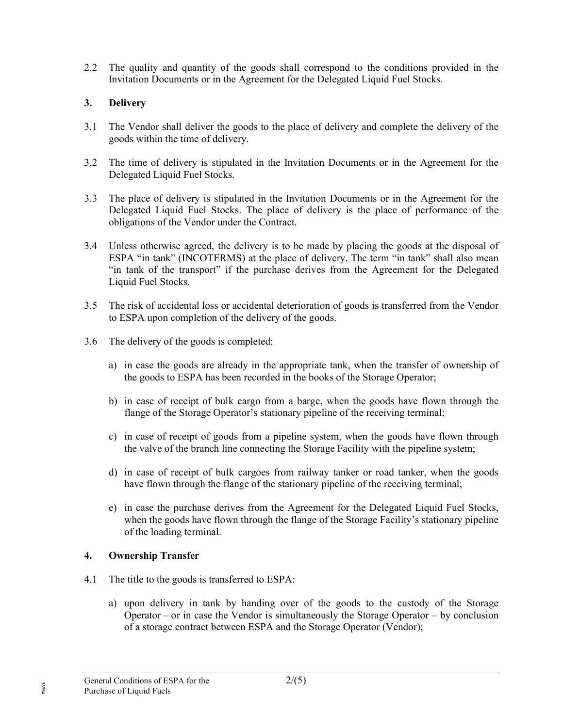2.2 The quality and quantity of the goods shall correspond to the conditions provided in the Invitation Documents or in the Agreement for the Delegated Liquid Fuel Stocks.

## 3. Delivery

- 3.1 The Vendor shall deliver the goods to the place of delivery and complete the delivery of the goods within the time of delivery.
- 3.2 The time of delivery is stipulated in the Invitation Documents or in the Agreement for the Delegated Liquid Fuel Stocks.
- 3.3 The place of delivery is stipulated in the Invitation Documents or in the Agreement for the Delegated Liquid Fuel Stocks. The place of delivery is the place of performance of the obligations of the Vendor under the Contract.
- 3.4 Unless otherwise agreed, the delivery is to be made by placing the goods at the disposal of ESPA "in tank" (INCOTERMS) at the place of delivery. The term "in tank" shall also mean "in tank of the transport" if the purchase derives from the Agreement for the Delegated Liquid Fuel Stocks.
- 3.5 The risk of accidental loss or accidental deterioration of goods is transferred from the Vendor to ESPA upon completion of the delivery of the goods.
- 3.6 The delivery of the goods is completed:
	- a) in case the goods are already in the appropriate tank, when the transfer of ownership of the goods to ESPA has been recorded in the books of the Storage Operator;
	- b) in case of receipt of bulk cargo from a barge, when the goods have flown through the flange of the Storage Operator's stationary pipeline of the receiving terminal;
	- c) in case of receipt of goods from a pipeline system, when the goods have flown through the valve of the branch line connecting the Storage Facility with the pipeline system;
	- d) in case of receipt of bulk cargoes from railway tanker or road tanker, when the goods have flown through the flange of the stationary pipeline of the receiving terminal;
	- e) in case the purchase derives from the Agreement for the Delegated Liquid Fuel Stocks, when the goods have flown through the flange of the Storage Facility's stationary pipeline of the loading terminal.

### 4. Ownership Transfer

- 4.1 The title to the goods is transferred to ESPA:
	- a) upon delivery in tank by handing over of the goods to the custody of the Storage Operator – or in case the Vendor is simultaneously the Storage Operator – by conclusion of a storage contract between ESPA and the Storage Operator (Vendor);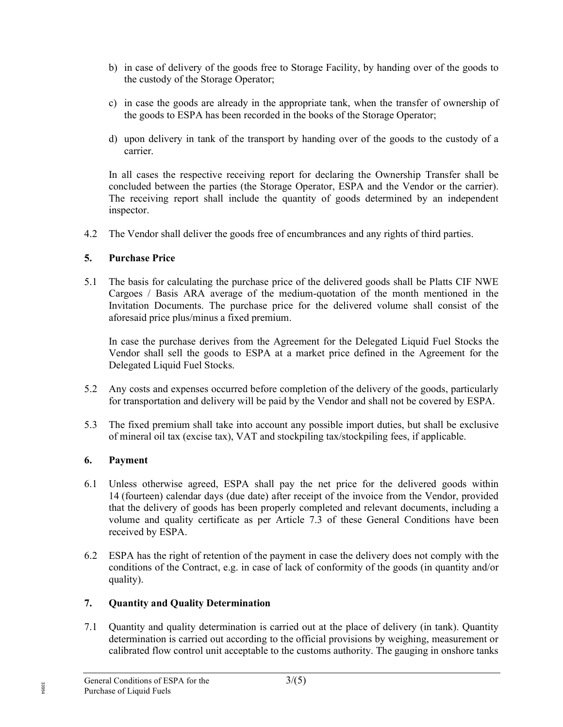- b) in case of delivery of the goods free to Storage Facility, by handing over of the goods to the custody of the Storage Operator;
- c) in case the goods are already in the appropriate tank, when the transfer of ownership of the goods to ESPA has been recorded in the books of the Storage Operator;
- d) upon delivery in tank of the transport by handing over of the goods to the custody of a carrier.

In all cases the respective receiving report for declaring the Ownership Transfer shall be concluded between the parties (the Storage Operator, ESPA and the Vendor or the carrier). The receiving report shall include the quantity of goods determined by an independent inspector.

4.2 The Vendor shall deliver the goods free of encumbrances and any rights of third parties.

### 5. Purchase Price

5.1 The basis for calculating the purchase price of the delivered goods shall be Platts CIF NWE Cargoes / Basis ARA average of the medium-quotation of the month mentioned in the Invitation Documents. The purchase price for the delivered volume shall consist of the aforesaid price plus/minus a fixed premium.

In case the purchase derives from the Agreement for the Delegated Liquid Fuel Stocks the Vendor shall sell the goods to ESPA at a market price defined in the Agreement for the Delegated Liquid Fuel Stocks.

- 5.2 Any costs and expenses occurred before completion of the delivery of the goods, particularly for transportation and delivery will be paid by the Vendor and shall not be covered by ESPA.
- 5.3 The fixed premium shall take into account any possible import duties, but shall be exclusive of mineral oil tax (excise tax), VAT and stockpiling tax/stockpiling fees, if applicable.

### 6. Payment

- 6.1 Unless otherwise agreed, ESPA shall pay the net price for the delivered goods within 14 (fourteen) calendar days (due date) after receipt of the invoice from the Vendor, provided that the delivery of goods has been properly completed and relevant documents, including a volume and quality certificate as per Article 7.3 of these General Conditions have been received by ESPA.
- 6.2 ESPA has the right of retention of the payment in case the delivery does not comply with the conditions of the Contract, e.g. in case of lack of conformity of the goods (in quantity and/or quality).

# 7. Quantity and Quality Determination

7.1 Quantity and quality determination is carried out at the place of delivery (in tank). Quantity determination is carried out according to the official provisions by weighing, measurement or calibrated flow control unit acceptable to the customs authority. The gauging in onshore tanks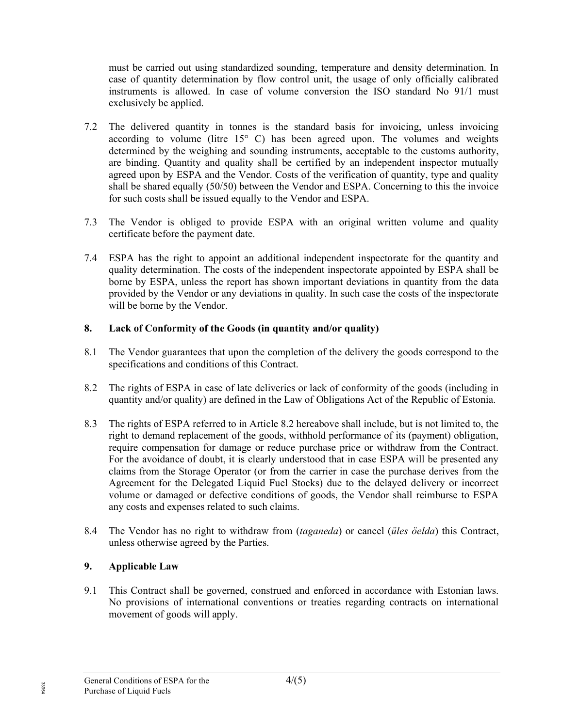must be carried out using standardized sounding, temperature and density determination. In case of quantity determination by flow control unit, the usage of only officially calibrated instruments is allowed. In case of volume conversion the ISO standard No 91/1 must exclusively be applied.

- 7.2 The delivered quantity in tonnes is the standard basis for invoicing, unless invoicing according to volume (litre 15° C) has been agreed upon. The volumes and weights determined by the weighing and sounding instruments, acceptable to the customs authority, are binding. Quantity and quality shall be certified by an independent inspector mutually agreed upon by ESPA and the Vendor. Costs of the verification of quantity, type and quality shall be shared equally (50/50) between the Vendor and ESPA. Concerning to this the invoice for such costs shall be issued equally to the Vendor and ESPA.
- 7.3 The Vendor is obliged to provide ESPA with an original written volume and quality certificate before the payment date.
- 7.4 ESPA has the right to appoint an additional independent inspectorate for the quantity and quality determination. The costs of the independent inspectorate appointed by ESPA shall be borne by ESPA, unless the report has shown important deviations in quantity from the data provided by the Vendor or any deviations in quality. In such case the costs of the inspectorate will be borne by the Vendor.

### 8. Lack of Conformity of the Goods (in quantity and/or quality)

- 8.1 The Vendor guarantees that upon the completion of the delivery the goods correspond to the specifications and conditions of this Contract.
- 8.2 The rights of ESPA in case of late deliveries or lack of conformity of the goods (including in quantity and/or quality) are defined in the Law of Obligations Act of the Republic of Estonia.
- 8.3 The rights of ESPA referred to in Article 8.2 hereabove shall include, but is not limited to, the right to demand replacement of the goods, withhold performance of its (payment) obligation, require compensation for damage or reduce purchase price or withdraw from the Contract. For the avoidance of doubt, it is clearly understood that in case ESPA will be presented any claims from the Storage Operator (or from the carrier in case the purchase derives from the Agreement for the Delegated Liquid Fuel Stocks) due to the delayed delivery or incorrect volume or damaged or defective conditions of goods, the Vendor shall reimburse to ESPA any costs and expenses related to such claims.
- 8.4 The Vendor has no right to withdraw from *(taganeda)* or cancel *(üles öelda)* this Contract, unless otherwise agreed by the Parties.

# 9. Applicable Law

9.1 This Contract shall be governed, construed and enforced in accordance with Estonian laws. No provisions of international conventions or treaties regarding contracts on international movement of goods will apply.